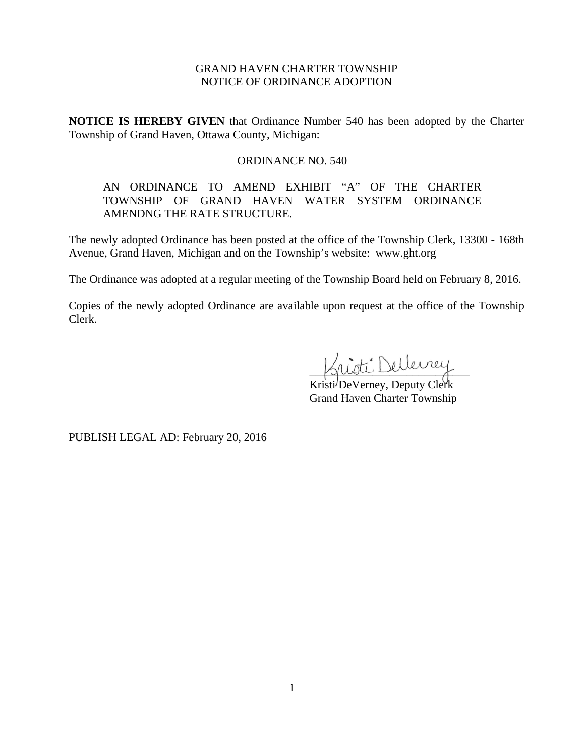# GRAND HAVEN CHARTER TOWNSHIP NOTICE OF ORDINANCE ADOPTION

**NOTICE IS HEREBY GIVEN** that Ordinance Number 540 has been adopted by the Charter Township of Grand Haven, Ottawa County, Michigan:

## ORDINANCE NO. 540

# AN ORDINANCE TO AMEND EXHIBIT "A" OF THE CHARTER TOWNSHIP OF GRAND HAVEN WATER SYSTEM ORDINANCE AMENDNG THE RATE STRUCTURE.

The newly adopted Ordinance has been posted at the office of the Township Clerk, 13300 - 168th Avenue, Grand Haven, Michigan and on the Township's website: www.ght.org

The Ordinance was adopted at a regular meeting of the Township Board held on February 8, 2016.

Copies of the newly adopted Ordinance are available upon request at the office of the Township Clerk.

nisti Dellerrey

Kristi DeVerney, Deputy Clerk Grand Haven Charter Township

PUBLISH LEGAL AD: February 20, 2016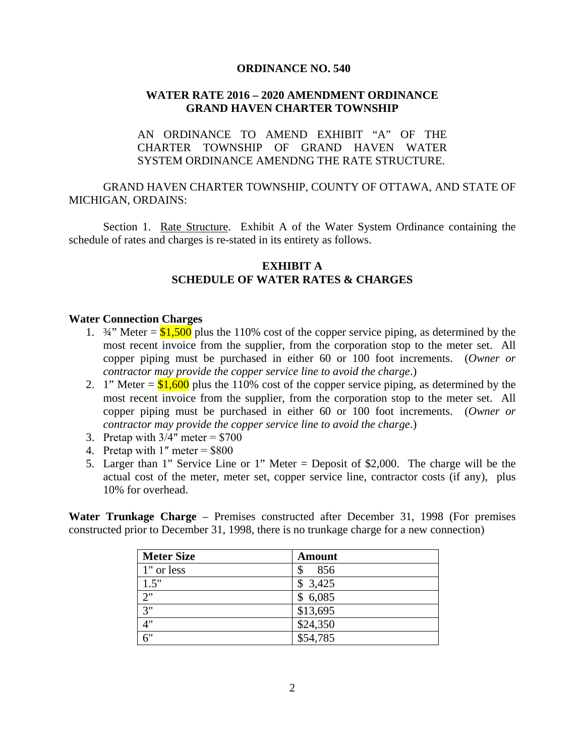### **ORDINANCE NO. 540**

# **WATER RATE 2016 – 2020 AMENDMENT ORDINANCE GRAND HAVEN CHARTER TOWNSHIP**

# AN ORDINANCE TO AMEND EXHIBIT "A" OF THE CHARTER TOWNSHIP OF GRAND HAVEN WATER SYSTEM ORDINANCE AMENDNG THE RATE STRUCTURE.

## GRAND HAVEN CHARTER TOWNSHIP, COUNTY OF OTTAWA, AND STATE OF MICHIGAN, ORDAINS:

Section 1. Rate Structure. Exhibit A of the Water System Ordinance containing the schedule of rates and charges is re-stated in its entirety as follows.

## **EXHIBIT A SCHEDULE OF WATER RATES & CHARGES**

#### **Water Connection Charges**

- 1.  $\frac{3}{4}$ " Meter = \$1,500 plus the 110% cost of the copper service piping, as determined by the most recent invoice from the supplier, from the corporation stop to the meter set. All copper piping must be purchased in either 60 or 100 foot increments. (*Owner or contractor may provide the copper service line to avoid the charge*.)
- 2. 1" Meter =  $$1,600$  plus the 110% cost of the copper service piping, as determined by the most recent invoice from the supplier, from the corporation stop to the meter set. All copper piping must be purchased in either 60 or 100 foot increments. (*Owner or contractor may provide the copper service line to avoid the charge*.)
- 3. Pretap with  $3/4$ " meter = \$700
- 4. Pretap with  $1''$  meter = \$800
- 5. Larger than 1" Service Line or 1" Meter = Deposit of \$2,000. The charge will be the actual cost of the meter, meter set, copper service line, contractor costs (if any), plus 10% for overhead.

**Water Trunkage Charge** – Premises constructed after December 31, 1998 (For premises constructed prior to December 31, 1998, there is no trunkage charge for a new connection)

| <b>Meter Size</b> | <b>Amount</b> |
|-------------------|---------------|
| 1" or less        | 856<br>\$     |
| 1.5"              | \$3,425       |
| 2"                | \$6,085       |
| 3"                | \$13,695      |
| 4"                | \$24,350      |
| 6"                | \$54,785      |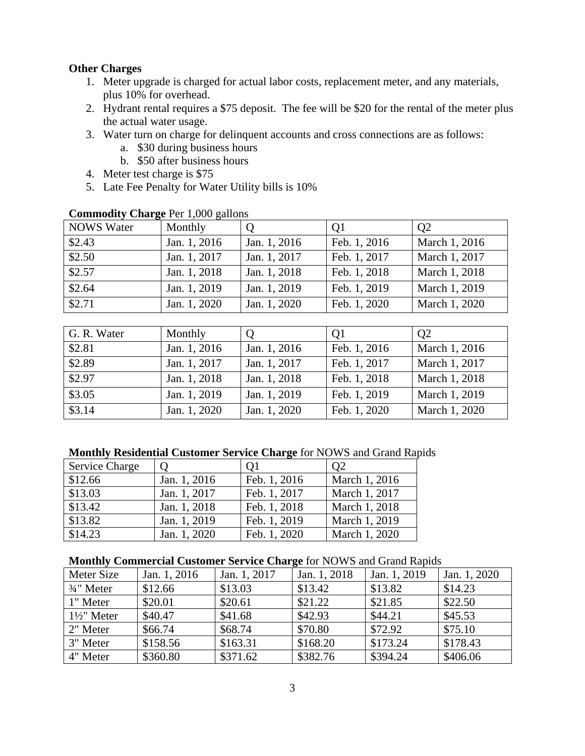# **Other Charges**

- 1. Meter upgrade is charged for actual labor costs, replacement meter, and any materials, plus 10% for overhead.
- 2. Hydrant rental requires a \$75 deposit. The fee will be \$20 for the rental of the meter plus the actual water usage.
- 3. Water turn on charge for delinquent accounts and cross connections are as follows:
	- a. \$30 during business hours
	- b. \$50 after business hours
- 4. Meter test charge is \$75
- 5. Late Fee Penalty for Water Utility bills is 10%

| <b>NOWS</b> Water | Monthly      |              | Q1           | Q <sub>2</sub> |  |  |
|-------------------|--------------|--------------|--------------|----------------|--|--|
| \$2.43            | Jan. 1, 2016 | Jan. 1, 2016 | Feb. 1, 2016 | March 1, 2016  |  |  |
| \$2.50            | Jan. 1, 2017 | Jan. 1, 2017 | Feb. 1, 2017 | March 1, 2017  |  |  |
| \$2.57            | Jan. 1, 2018 | Jan. 1, 2018 | Feb. 1, 2018 | March 1, 2018  |  |  |
| \$2.64            | Jan. 1, 2019 | Jan. 1, 2019 | Feb. 1, 2019 | March 1, 2019  |  |  |
| \$2.71            | Jan. 1, 2020 | Jan. 1, 2020 | Feb. 1, 2020 | March 1, 2020  |  |  |

### **Commodity Charge** Per 1,000 gallons

| G. R. Water        | Monthly      |              | Q1           | O <sub>2</sub> |
|--------------------|--------------|--------------|--------------|----------------|
| \$2.81             | Jan. 1, 2016 | Jan. 1, 2016 | Feb. 1, 2016 | March 1, 2016  |
| \$2.89             | Jan. 1, 2017 | Jan. 1, 2017 | Feb. 1, 2017 | March 1, 2017  |
| $\sqrt{$2.97}$     | Jan. 1, 2018 | Jan. 1, 2018 | Feb. 1, 2018 | March 1, 2018  |
| $\overline{$3.05}$ | Jan. 1, 2019 | Jan. 1, 2019 | Feb. 1, 2019 | March 1, 2019  |
| \$3.14             | Jan. 1, 2020 | Jan. 1, 2020 | Feb. 1, 2020 | March 1, 2020  |

### **Monthly Residential Customer Service Charge** for NOWS and Grand Rapids

| <b>Service Charge</b> |              | 01           | O2            |
|-----------------------|--------------|--------------|---------------|
| \$12.66               | Jan. 1, 2016 | Feb. 1, 2016 | March 1, 2016 |
| \$13.03               | Jan. 1, 2017 | Feb. 1, 2017 | March 1, 2017 |
| \$13.42               | Jan. 1, 2018 | Feb. 1, 2018 | March 1, 2018 |
| \$13.82               | Jan. 1, 2019 | Feb. 1, 2019 | March 1, 2019 |
| \$14.23               | Jan. 1, 2020 | Feb. 1, 2020 | March 1, 2020 |

## **Monthly Commercial Customer Service Charge** for NOWS and Grand Rapids

| Meter Size             | Jan. 1, 2016 | Jan. 1, 2017 | Jan. 1, 2018 | Jan. 1, 2019 | Jan. 1, 2020 |
|------------------------|--------------|--------------|--------------|--------------|--------------|
| $3/4$ " Meter          | \$12.66      | \$13.03      | \$13.42      | \$13.82      | \$14.23      |
| 1" Meter               | \$20.01      | \$20.61      | \$21.22      | \$21.85      | \$22.50      |
| $1\frac{1}{2}$ " Meter | \$40.47      | \$41.68      | \$42.93      | \$44.21      | \$45.53      |
| 2" Meter               | \$66.74      | \$68.74      | \$70.80      | \$72.92      | \$75.10      |
| 3" Meter               | \$158.56     | \$163.31     | \$168.20     | \$173.24     | \$178.43     |
| 4" Meter               | \$360.80     | \$371.62     | \$382.76     | \$394.24     | \$406.06     |